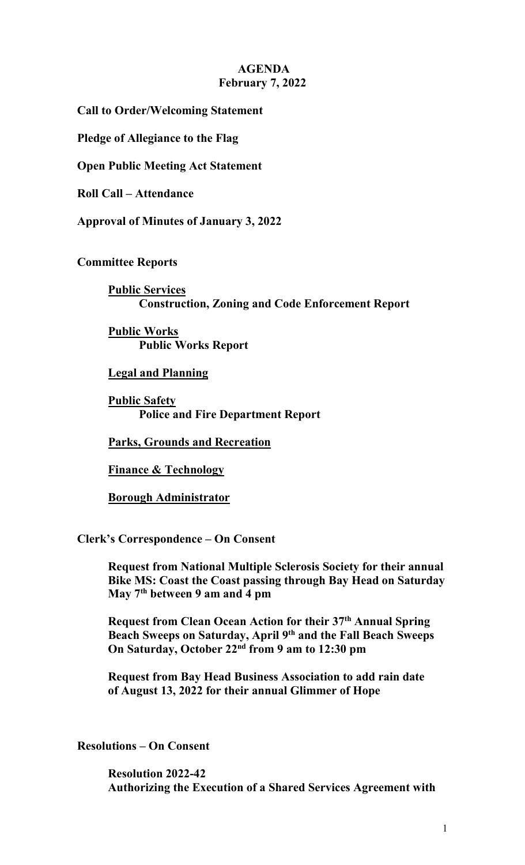## **AGENDA February 7, 2022**

**Call to Order/Welcoming Statement**

**Pledge of Allegiance to the Flag**

**Open Public Meeting Act Statement**

**Roll Call – Attendance**

**Approval of Minutes of January 3, 2022**

**Committee Reports**

**Public Services Construction, Zoning and Code Enforcement Report**

**Public Works Public Works Report**

**Legal and Planning**

**Public Safety Police and Fire Department Report** 

**Parks, Grounds and Recreation**

**Finance & Technology**

**Borough Administrator**

**Clerk's Correspondence – On Consent**

**Request from National Multiple Sclerosis Society for their annual Bike MS: Coast the Coast passing through Bay Head on Saturday May 7th between 9 am and 4 pm**

**Request from Clean Ocean Action for their 37th Annual Spring Beach Sweeps on Saturday, April 9th and the Fall Beach Sweeps On Saturday, October 22nd from 9 am to 12:30 pm**

**Request from Bay Head Business Association to add rain date of August 13, 2022 for their annual Glimmer of Hope**

**Resolutions – On Consent**

**Resolution 2022-42 Authorizing the Execution of a Shared Services Agreement with**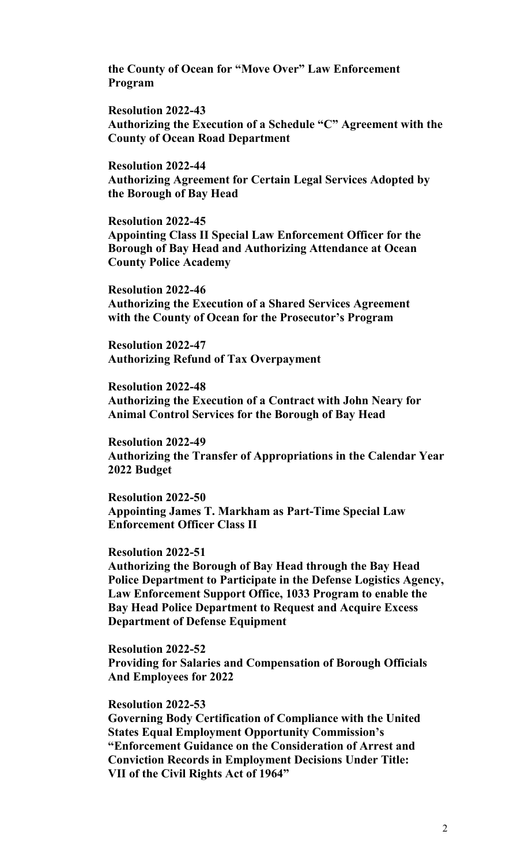**the County of Ocean for "Move Over" Law Enforcement Program**

**Resolution 2022-43 Authorizing the Execution of a Schedule "C" Agreement with the County of Ocean Road Department**

**Resolution 2022-44 Authorizing Agreement for Certain Legal Services Adopted by the Borough of Bay Head**

**Resolution 2022-45 Appointing Class II Special Law Enforcement Officer for the Borough of Bay Head and Authorizing Attendance at Ocean County Police Academy**

**Resolution 2022-46 Authorizing the Execution of a Shared Services Agreement with the County of Ocean for the Prosecutor's Program**

**Resolution 2022-47 Authorizing Refund of Tax Overpayment**

**Resolution 2022-48 Authorizing the Execution of a Contract with John Neary for Animal Control Services for the Borough of Bay Head**

**Resolution 2022-49 Authorizing the Transfer of Appropriations in the Calendar Year 2022 Budget**

**Resolution 2022-50 Appointing James T. Markham as Part-Time Special Law Enforcement Officer Class II**

## **Resolution 2022-51**

**Authorizing the Borough of Bay Head through the Bay Head Police Department to Participate in the Defense Logistics Agency, Law Enforcement Support Office, 1033 Program to enable the Bay Head Police Department to Request and Acquire Excess Department of Defense Equipment**

**Resolution 2022-52 Providing for Salaries and Compensation of Borough Officials And Employees for 2022**

## **Resolution 2022-53**

**Governing Body Certification of Compliance with the United States Equal Employment Opportunity Commission's "Enforcement Guidance on the Consideration of Arrest and Conviction Records in Employment Decisions Under Title: VII of the Civil Rights Act of 1964"**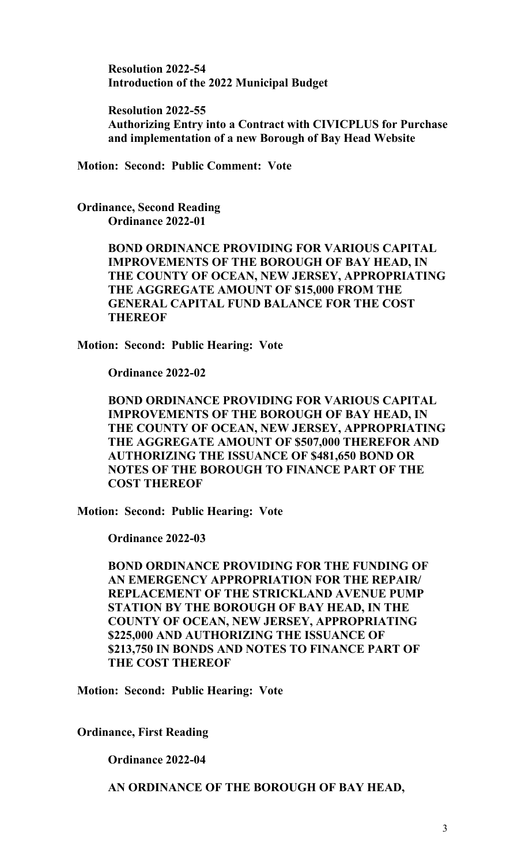**Resolution 2022-54 Introduction of the 2022 Municipal Budget**

**Resolution 2022-55 Authorizing Entry into a Contract with CIVICPLUS for Purchase and implementation of a new Borough of Bay Head Website**

**Motion: Second: Public Comment: Vote**

**Ordinance, Second Reading Ordinance 2022-01**

> **BOND ORDINANCE PROVIDING FOR VARIOUS CAPITAL IMPROVEMENTS OF THE BOROUGH OF BAY HEAD, IN THE COUNTY OF OCEAN, NEW JERSEY, APPROPRIATING THE AGGREGATE AMOUNT OF \$15,000 FROM THE GENERAL CAPITAL FUND BALANCE FOR THE COST THEREOF**

**Motion: Second: Public Hearing: Vote**

**Ordinance 2022-02**

**BOND ORDINANCE PROVIDING FOR VARIOUS CAPITAL IMPROVEMENTS OF THE BOROUGH OF BAY HEAD, IN THE COUNTY OF OCEAN, NEW JERSEY, APPROPRIATING THE AGGREGATE AMOUNT OF \$507,000 THEREFOR AND AUTHORIZING THE ISSUANCE OF \$481,650 BOND OR NOTES OF THE BOROUGH TO FINANCE PART OF THE COST THEREOF**

**Motion: Second: Public Hearing: Vote**

**Ordinance 2022-03**

**BOND ORDINANCE PROVIDING FOR THE FUNDING OF AN EMERGENCY APPROPRIATION FOR THE REPAIR/ REPLACEMENT OF THE STRICKLAND AVENUE PUMP STATION BY THE BOROUGH OF BAY HEAD, IN THE COUNTY OF OCEAN, NEW JERSEY, APPROPRIATING \$225,000 AND AUTHORIZING THE ISSUANCE OF \$213,750 IN BONDS AND NOTES TO FINANCE PART OF THE COST THEREOF**

**Motion: Second: Public Hearing: Vote**

**Ordinance, First Reading**

**Ordinance 2022-04**

**AN ORDINANCE OF THE BOROUGH OF BAY HEAD,**